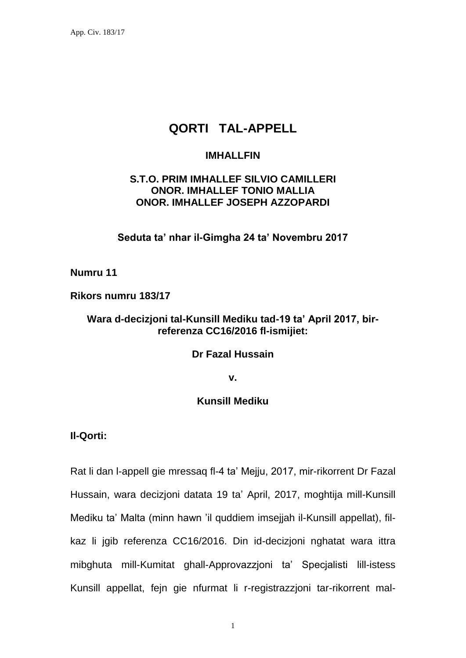# **QORTI TAL-APPELL**

### **IMHALLFIN**

## **S.T.O. PRIM IMHALLEF SILVIO CAMILLERI ONOR. IMHALLEF TONIO MALLIA ONOR. IMHALLEF JOSEPH AZZOPARDI**

**Seduta ta' nhar il-Gimgha 24 ta' Novembru 2017**

**Numru 11**

**Rikors numru 183/17**

### **Wara d-decizjoni tal-Kunsill Mediku tad-19 ta' April 2017, birreferenza CC16/2016 fl-ismijiet:**

#### **Dr Fazal Hussain**

**v.**

## **Kunsill Mediku**

**Il-Qorti:**

Rat li dan l-appell gie mressaq fl-4 ta' Mejju, 2017, mir-rikorrent Dr Fazal Hussain, wara decizjoni datata 19 ta' April, 2017, moghtija mill-Kunsill Mediku ta' Malta (minn hawn 'il quddiem imsejjah il-Kunsill appellat), filkaz li jgib referenza CC16/2016. Din id-decizjoni nghatat wara ittra mibghuta mill-Kumitat ghall-Approvazzjoni ta' Specjalisti lill-istess Kunsill appellat, fejn gie nfurmat li r-registrazzjoni tar-rikorrent mal-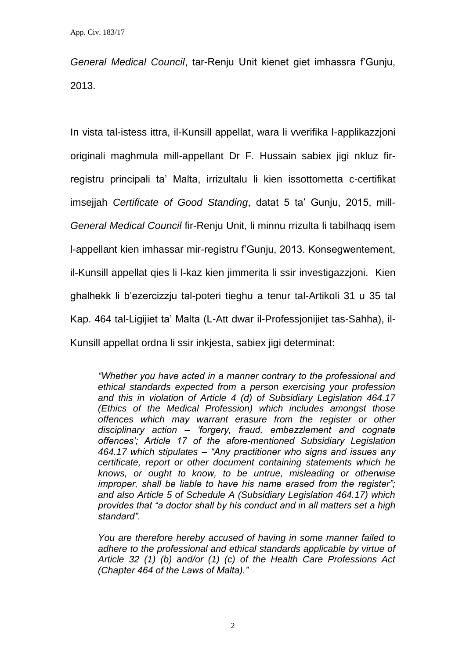*General Medical Council*, tar-Renju Unit kienet giet imhassra f'Gunju, 2013.

In vista tal-istess ittra, il-Kunsill appellat, wara li vverifika l-applikazzjoni originali maghmula mill-appellant Dr F. Hussain sabiex jigi nkluz firregistru principali ta' Malta, irrizultalu li kien issottometta c-certifikat imsejjah *Certificate of Good Standing*, datat 5 ta' Gunju, 2015, mill-*General Medical Council* fir-Renju Unit, li minnu rrizulta li tabilhaqq isem l-appellant kien imhassar mir-registru f'Gunju, 2013. Konsegwentement, il-Kunsill appellat qies li l-kaz kien jimmerita li ssir investigazzjoni. Kien ghalhekk li b'ezercizzju tal-poteri tieghu a tenur tal-Artikoli 31 u 35 tal Kap. 464 tal-Ligijiet ta' Malta (L-Att dwar il-Professjonijiet tas-Sahha), il-Kunsill appellat ordna li ssir inkjesta, sabiex jigi determinat:

*"Whether you have acted in a manner contrary to the professional and ethical standards expected from a person exercising your profession and this in violation of Article 4 (d) of Subsidiary Legislation 464.17 (Ethics of the Medical Profession) which includes amongst those offences which may warrant erasure from the register or other disciplinary action – 'forgery, fraud, embezzlement and cognate offences'; Article 17 of the afore-mentioned Subsidiary Legislation 464.17 which stipulates – "Any practitioner who signs and issues any certificate, report or other document containing statements which he knows, or ought to know, to be untrue, misleading or otherwise improper, shall be liable to have his name erased from the register"; and also Article 5 of Schedule A (Subsidiary Legislation 464.17) which provides that "a doctor shall by his conduct and in all matters set a high standard".*

*You are therefore hereby accused of having in some manner failed to adhere to the professional and ethical standards applicable by virtue of Article 32 (1) (b) and/or (1) (c) of the Health Care Professions Act (Chapter 464 of the Laws of Malta)."*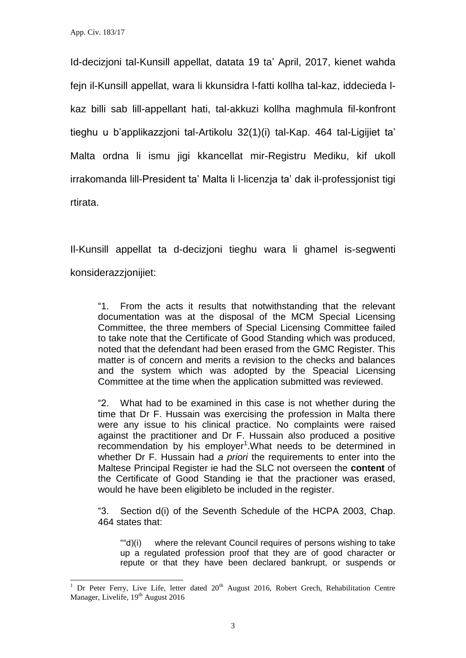l

Id-decizjoni tal-Kunsill appellat, datata 19 ta' April, 2017, kienet wahda fejn il-Kunsill appellat, wara li kkunsidra l-fatti kollha tal-kaz, iddecieda lkaz billi sab lill-appellant hati, tal-akkuzi kollha maghmula fil-konfront tieghu u b'applikazzjoni tal-Artikolu 32(1)(i) tal-Kap. 464 tal-Ligijiet ta' Malta ordna li ismu jigi kkancellat mir-Registru Mediku, kif ukoll irrakomanda lill-President ta' Malta li l-licenzja ta' dak il-professjonist tigi rtirata.

Il-Kunsill appellat ta d-decizjoni tieghu wara li ghamel is-segwenti konsiderazzjonijiet:

"1. From the acts it results that notwithstanding that the relevant documentation was at the disposal of the MCM Special Licensing Committee, the three members of Special Licensing Committee failed to take note that the Certificate of Good Standing which was produced, noted that the defendant had been erased from the GMC Register. This matter is of concern and merits a revision to the checks and balances and the system which was adopted by the Speacial Licensing Committee at the time when the application submitted was reviewed.

"2. What had to be examined in this case is not whether during the time that Dr F. Hussain was exercising the profession in Malta there were any issue to his clinical practice. No complaints were raised against the practitioner and Dr F. Hussain also produced a positive  $r$ ecommendation by his employer<sup>1</sup>. What needs to be determined in whether Dr F. Hussain had *a priori* the requirements to enter into the Maltese Principal Register ie had the SLC not overseen the **content** of the Certificate of Good Standing ie that the practioner was erased, would he have been eligibleto be included in the register.

"3. Section d(i) of the Seventh Schedule of the HCPA 2003, Chap. 464 states that:

""d)(i) where the relevant Council requires of persons wishing to take up a regulated profession proof that they are of good character or repute or that they have been declared bankrupt, or suspends or

Dr Peter Ferry, Live Life, letter dated 20<sup>th</sup> August 2016, Robert Grech, Rehabilitation Centre Manager, Livelife, 19<sup>th</sup> August 2016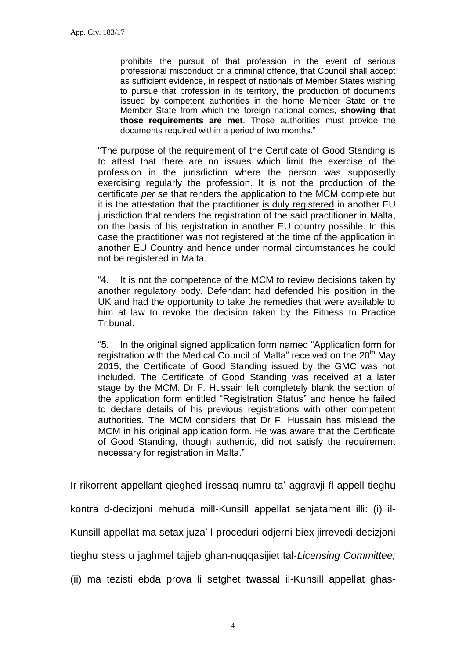prohibits the pursuit of that profession in the event of serious professional misconduct or a criminal offence, that Council shall accept as sufficient evidence, in respect of nationals of Member States wishing to pursue that profession in its territory, the production of documents issued by competent authorities in the home Member State or the Member State from which the foreign national comes, **showing that those requirements are met**. Those authorities must provide the documents required within a period of two months."

"The purpose of the requirement of the Certificate of Good Standing is to attest that there are no issues which limit the exercise of the profession in the jurisdiction where the person was supposedly exercising regularly the profession. It is not the production of the certificate *per se* that renders the application to the MCM complete but it is the attestation that the practitioner is duly registered in another EU jurisdiction that renders the registration of the said practitioner in Malta, on the basis of his registration in another EU country possible. In this case the practitioner was not registered at the time of the application in another EU Country and hence under normal circumstances he could not be registered in Malta.

"4. It is not the competence of the MCM to review decisions taken by another regulatory body. Defendant had defended his position in the UK and had the opportunity to take the remedies that were available to him at law to revoke the decision taken by the Fitness to Practice Tribunal.

"5. In the original signed application form named "Application form for registration with the Medical Council of Malta" received on the 20<sup>th</sup> May 2015, the Certificate of Good Standing issued by the GMC was not included. The Certificate of Good Standing was received at a later stage by the MCM. Dr F. Hussain left completely blank the section of the application form entitled "Registration Status" and hence he failed to declare details of his previous registrations with other competent authorities. The MCM considers that Dr F. Hussain has mislead the MCM in his original application form. He was aware that the Certificate of Good Standing, though authentic, did not satisfy the requirement necessary for registration in Malta."

Ir-rikorrent appellant qieghed iressaq numru ta' aggravji fl-appell tieghu kontra d-decizjoni mehuda mill-Kunsill appellat senjatament illi: (i) il-Kunsill appellat ma setax juza' l-proceduri odjerni biex jirrevedi decizjoni

tieghu stess u jaghmel tajjeb ghan-nuqqasijiet tal-*Licensing Committee;* 

(ii) ma tezisti ebda prova li setghet twassal il-Kunsill appellat ghas-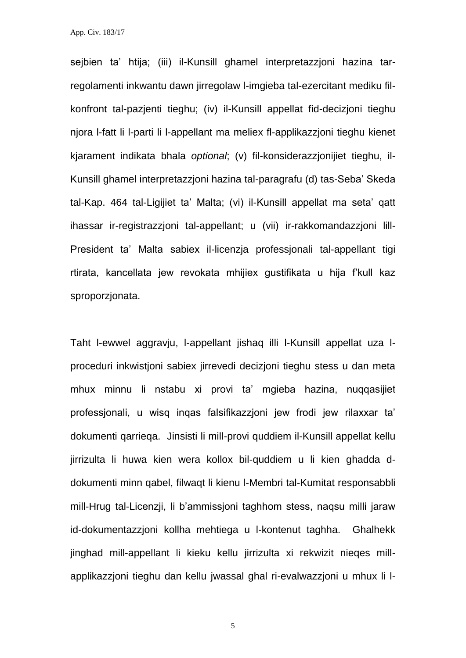sejbien ta' htija; (iii) il-Kunsill ghamel interpretazzjoni hazina tarregolamenti inkwantu dawn jirregolaw l-imgieba tal-ezercitant mediku filkonfront tal-pazjenti tieghu; (iv) il-Kunsill appellat fid-decizjoni tieghu njora l-fatt li l-parti li l-appellant ma meliex fl-applikazzjoni tieghu kienet kjarament indikata bhala *optional*; (v) fil-konsiderazzjonijiet tieghu, il-Kunsill ghamel interpretazzjoni hazina tal-paragrafu (d) tas-Seba' Skeda tal-Kap. 464 tal-Ligijiet ta' Malta; (vi) il-Kunsill appellat ma seta' qatt ihassar ir-registrazzjoni tal-appellant; u (vii) ir-rakkomandazzjoni lill-President ta' Malta sabiex il-licenzja professjonali tal-appellant tigi rtirata, kancellata jew revokata mhijiex gustifikata u hija f'kull kaz sproporzjonata.

Taht l-ewwel aggravju, l-appellant jishaq illi l-Kunsill appellat uza lproceduri inkwistjoni sabiex jirrevedi decizjoni tieghu stess u dan meta mhux minnu li nstabu xi provi ta' mgieba hazina, nuqqasijiet professjonali, u wisq inqas falsifikazzjoni jew frodi jew rilaxxar ta' dokumenti qarrieqa. Jinsisti li mill-provi quddiem il-Kunsill appellat kellu jirrizulta li huwa kien wera kollox bil-quddiem u li kien ghadda ddokumenti minn qabel, filwaqt li kienu l-Membri tal-Kumitat responsabbli mill-Hrug tal-Licenzji, li b'ammissjoni taghhom stess, naqsu milli jaraw id-dokumentazzjoni kollha mehtiega u l-kontenut taghha. Ghalhekk jinghad mill-appellant li kieku kellu jirrizulta xi rekwizit nieqes millapplikazzjoni tieghu dan kellu jwassal ghal ri-evalwazzjoni u mhux li l-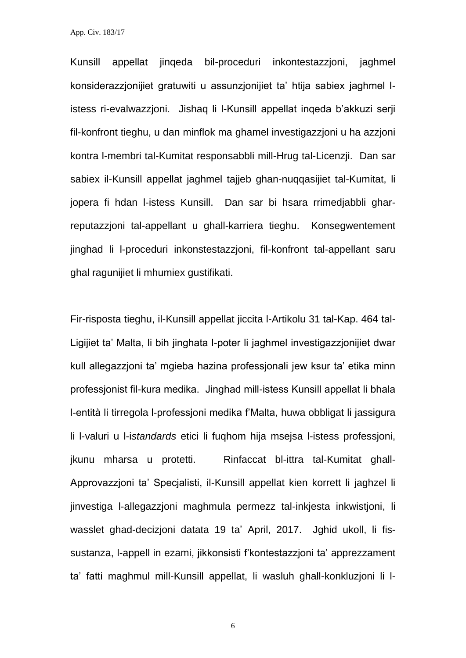Kunsill appellat jinqeda bil-proceduri inkontestazzjoni, jaghmel konsiderazzjonijiet gratuwiti u assunzjonijiet ta' htija sabiex jaghmel listess ri-evalwazzjoni. Jishaq li l-Kunsill appellat inqeda b'akkuzi serji fil-konfront tieghu, u dan minflok ma ghamel investigazzjoni u ha azzjoni kontra l-membri tal-Kumitat responsabbli mill-Hrug tal-Licenzji. Dan sar sabiex il-Kunsill appellat jaghmel tajjeb ghan-nuqqasijiet tal-Kumitat, li jopera fi hdan l-istess Kunsill. Dan sar bi hsara rrimedjabbli gharreputazzjoni tal-appellant u ghall-karriera tieghu. Konsegwentement jinghad li l-proceduri inkonstestazzjoni, fil-konfront tal-appellant saru ghal ragunijiet li mhumiex gustifikati.

Fir-risposta tieghu, il-Kunsill appellat jiccita l-Artikolu 31 tal-Kap. 464 tal-Ligijiet ta' Malta, li bih jinghata l-poter li jaghmel investigazzjonijiet dwar kull allegazzjoni ta' mgieba hazina professjonali jew ksur ta' etika minn professionist fil-kura medika. Jinghad mill-istess Kunsill appellat li bhala l-entità li tirregola l-professioni medika f'Malta, huwa obbligat li jassigura li l-valuri u l-i*standards* etici li fuqhom hija msejsa l-istess professjoni, jkunu mharsa u protetti. Rinfaccat bl-ittra tal-Kumitat ghall-Approvazzjoni ta' Specjalisti, il-Kunsill appellat kien korrett li jaghzel li jinvestiga l-allegazzjoni maghmula permezz tal-inkjesta inkwistjoni, li wasslet ghad-decizjoni datata 19 ta' April, 2017. Jghid ukoll, li fissustanza, l-appell in ezami, jikkonsisti f'kontestazzjoni ta' apprezzament ta' fatti maghmul mill-Kunsill appellat, li wasluh ghall-konkluzjoni li l-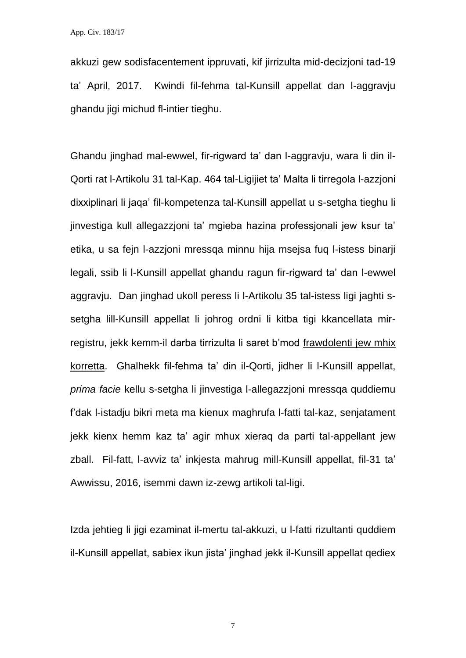akkuzi gew sodisfacentement ippruvati, kif jirrizulta mid-decizjoni tad-19 ta' April, 2017. Kwindi fil-fehma tal-Kunsill appellat dan l-aggravju ghandu jigi michud fl-intier tieghu.

Ghandu jinghad mal-ewwel, fir-rigward ta' dan l-aggravju, wara li din il-Qorti rat l-Artikolu 31 tal-Kap. 464 tal-Ligijiet ta' Malta li tirregola l-azzjoni dixxiplinari li jaqa' fil-kompetenza tal-Kunsill appellat u s-setgha tieghu li jinvestiga kull allegazzjoni ta' mgieba hazina professjonali jew ksur ta' etika, u sa fejn l-azzjoni mressqa minnu hija msejsa fuq l-istess binarji legali, ssib li l-Kunsill appellat ghandu ragun fir-rigward ta' dan l-ewwel aggravju. Dan jinghad ukoll peress li l-Artikolu 35 tal-istess ligi jaghti ssetgha lill-Kunsill appellat li johrog ordni li kitba tigi kkancellata mirregistru, jekk kemm-il darba tirrizulta li saret b'mod frawdolenti jew mhix korretta. Ghalhekk fil-fehma ta' din il-Qorti, jidher li l-Kunsill appellat, *prima facie* kellu s-setgha li jinvestiga l-allegazzjoni mressqa quddiemu f'dak l-istadju bikri meta ma kienux maghrufa l-fatti tal-kaz, senjatament jekk kienx hemm kaz ta' agir mhux xieraq da parti tal-appellant jew zball. Fil-fatt, l-avviz ta' inkjesta mahrug mill-Kunsill appellat, fil-31 ta' Awwissu, 2016, isemmi dawn iz-zewg artikoli tal-ligi.

Izda jehtieg li jigi ezaminat il-mertu tal-akkuzi, u l-fatti rizultanti quddiem il-Kunsill appellat, sabiex ikun jista' jinghad jekk il-Kunsill appellat qediex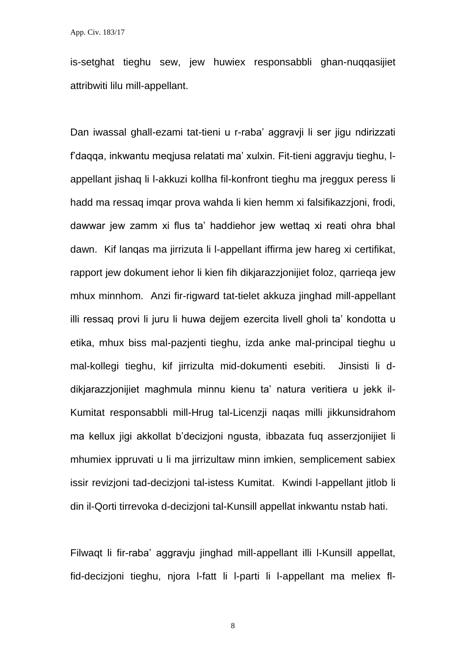is-setghat tieghu sew, jew huwiex responsabbli ghan-nuqqasijiet attribwiti lilu mill-appellant.

Dan iwassal ghall-ezami tat-tieni u r-raba' aggravji li ser jigu ndirizzati f'daqqa, inkwantu meqjusa relatati ma' xulxin. Fit-tieni aggravju tieghu, lappellant jishaq li l-akkuzi kollha fil-konfront tieghu ma jreggux peress li hadd ma ressaq imqar prova wahda li kien hemm xi falsifikazzjoni, frodi, dawwar jew zamm xi flus ta' haddiehor jew wettaq xi reati ohra bhal dawn. Kif lanqas ma jirrizuta li l-appellant iffirma jew hareg xi certifikat, rapport jew dokument iehor li kien fih dikjarazzjonijiet foloz, qarrieqa jew mhux minnhom. Anzi fir-rigward tat-tielet akkuza jinghad mill-appellant illi ressaq provi li juru li huwa dejjem ezercita livell gholi ta' kondotta u etika, mhux biss mal-pazjenti tieghu, izda anke mal-principal tieghu u mal-kollegi tieghu, kif jirrizulta mid-dokumenti esebiti. Jinsisti li ddikjarazzjonijiet maghmula minnu kienu ta' natura veritiera u jekk il-Kumitat responsabbli mill-Hrug tal-Licenzji naqas milli jikkunsidrahom ma kellux jigi akkollat b'decizjoni ngusta, ibbazata fuq asserzjonijiet li mhumiex ippruvati u li ma jirrizultaw minn imkien, semplicement sabiex issir revizjoni tad-decizjoni tal-istess Kumitat. Kwindi l-appellant jitlob li din il-Qorti tirrevoka d-decizjoni tal-Kunsill appellat inkwantu nstab hati.

Filwaqt li fir-raba' aggravju jinghad mill-appellant illi l-Kunsill appellat, fid-decizjoni tieghu, njora l-fatt li l-parti li l-appellant ma meliex fl-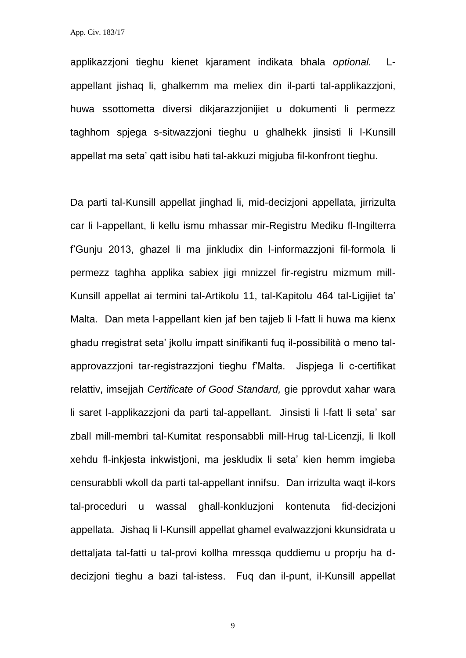applikazzjoni tieghu kienet kjarament indikata bhala *optional.* Lappellant jishaq li, ghalkemm ma meliex din il-parti tal-applikazzjoni, huwa ssottometta diversi dikjarazzjonijiet u dokumenti li permezz taghhom spjega s-sitwazzjoni tieghu u ghalhekk jinsisti li l-Kunsill appellat ma seta' qatt isibu hati tal-akkuzi migjuba fil-konfront tieghu.

Da parti tal-Kunsill appellat jinghad li, mid-decizjoni appellata, jirrizulta car li l-appellant, li kellu ismu mhassar mir-Registru Mediku fl-Ingilterra f'Gunju 2013, ghazel li ma jinkludix din l-informazzjoni fil-formola li permezz taghha applika sabiex jigi mnizzel fir-registru mizmum mill-Kunsill appellat ai termini tal-Artikolu 11, tal-Kapitolu 464 tal-Ligijiet ta' Malta. Dan meta l-appellant kien jaf ben tajjeb li l-fatt li huwa ma kienx ghadu rregistrat seta' jkollu impatt sinifikanti fug il-possibilità o meno talapprovazzjoni tar-registrazzjoni tieghu f'Malta. Jispjega li c-certifikat relattiv, imsejjah *Certificate of Good Standard,* gie pprovdut xahar wara li saret l-applikazzjoni da parti tal-appellant. Jinsisti li l-fatt li seta' sar zball mill-membri tal-Kumitat responsabbli mill-Hrug tal-Licenzji, li lkoll xehdu fl-inkjesta inkwistjoni, ma jeskludix li seta' kien hemm imgieba censurabbli wkoll da parti tal-appellant innifsu. Dan irrizulta waqt il-kors tal-proceduri u wassal ghall-konkluzjoni kontenuta fid-decizjoni appellata. Jishaq li l-Kunsill appellat ghamel evalwazzjoni kkunsidrata u dettaljata tal-fatti u tal-provi kollha mressqa quddiemu u proprju ha ddecizioni tieghu a bazi tal-istess. Fug dan il-punt, il-Kunsill appellat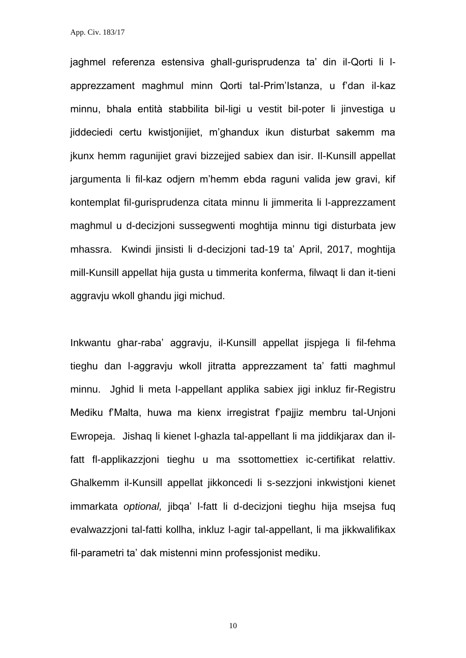jaghmel referenza estensiva ghall-gurisprudenza ta' din il-Qorti li lapprezzament maghmul minn Qorti tal-Prim'Istanza, u f'dan il-kaz minnu, bhala entità stabbilita bil-ligi u vestit bil-poter li jinvestiga u jiddeciedi certu kwistjonijiet, m'ghandux ikun disturbat sakemm ma jkunx hemm ragunijiet gravi bizzejjed sabiex dan isir. Il-Kunsill appellat jargumenta li fil-kaz odjern m'hemm ebda raguni valida jew gravi, kif kontemplat fil-gurisprudenza citata minnu li jimmerita li l-apprezzament maghmul u d-decizjoni sussegwenti moghtija minnu tigi disturbata jew mhassra. Kwindi jinsisti li d-decizjoni tad-19 ta' April, 2017, moghtija mill-Kunsill appellat hija gusta u timmerita konferma, filwaqt li dan it-tieni aggravju wkoll ghandu jigi michud.

Inkwantu ghar-raba' aggravju, il-Kunsill appellat jispjega li fil-fehma tieghu dan l-aggravju wkoll jitratta apprezzament ta' fatti maghmul minnu. Jghid li meta l-appellant applika sabiex jigi inkluz fir-Registru Mediku f'Malta, huwa ma kienx irregistrat f'pajjiz membru tal-Unjoni Ewropeja. Jishaq li kienet l-ghazla tal-appellant li ma jiddikjarax dan ilfatt fl-applikazzjoni tieghu u ma ssottomettiex ic-certifikat relattiv. Ghalkemm il-Kunsill appellat jikkoncedi li s-sezzjoni inkwistjoni kienet immarkata *optional,* jibqa' l-fatt li d-decizjoni tieghu hija msejsa fuq evalwazzjoni tal-fatti kollha, inkluz l-agir tal-appellant, li ma jikkwalifikax fil-parametri ta' dak mistenni minn professjonist mediku.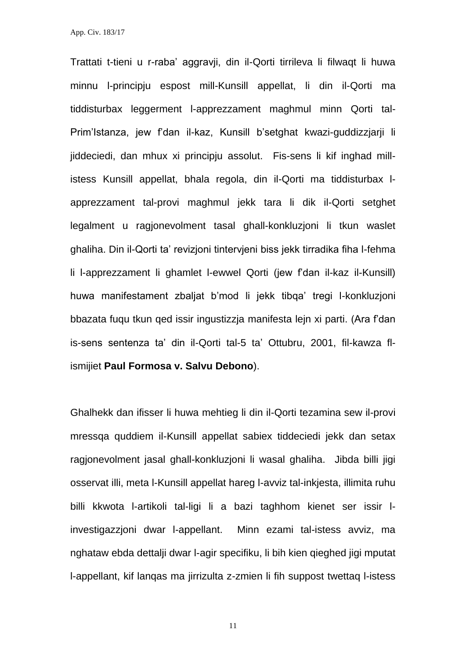Trattati t-tieni u r-raba' aggravji, din il-Qorti tirrileva li filwaqt li huwa minnu l-principju espost mill-Kunsill appellat, li din il-Qorti ma tiddisturbax leggerment l-apprezzament maghmul minn Qorti tal-Prim'Istanza, jew f'dan il-kaz, Kunsill b'setghat kwazi-guddizzjarji li jiddeciedi, dan mhux xi principju assolut. Fis-sens li kif inghad millistess Kunsill appellat, bhala regola, din il-Qorti ma tiddisturbax lapprezzament tal-provi maghmul jekk tara li dik il-Qorti setghet legalment u ragjonevolment tasal ghall-konkluzjoni li tkun waslet ghaliha. Din il-Qorti ta' revizjoni tintervjeni biss jekk tirradika fiha l-fehma li l-apprezzament li ghamlet l-ewwel Qorti (jew f'dan il-kaz il-Kunsill) huwa manifestament zbaljat b'mod li jekk tibqa' tregi l-konkluzjoni bbazata fuqu tkun qed issir ingustizzja manifesta lejn xi parti. (Ara f'dan is-sens sentenza ta' din il-Qorti tal-5 ta' Ottubru, 2001, fil-kawza flismijiet **Paul Formosa v. Salvu Debono**).

Ghalhekk dan ifisser li huwa mehtieg li din il-Qorti tezamina sew il-provi mressqa quddiem il-Kunsill appellat sabiex tiddeciedi jekk dan setax ragjonevolment jasal ghall-konkluzjoni li wasal ghaliha. Jibda billi jigi osservat illi, meta l-Kunsill appellat hareg l-avviz tal-inkjesta, illimita ruhu billi kkwota l-artikoli tal-ligi li a bazi taghhom kienet ser issir linvestigazzjoni dwar l-appellant. Minn ezami tal-istess avviz, ma nghataw ebda dettalji dwar l-agir specifiku, li bih kien qieghed jigi mputat l-appellant, kif lanqas ma jirrizulta z-zmien li fih suppost twettaq l-istess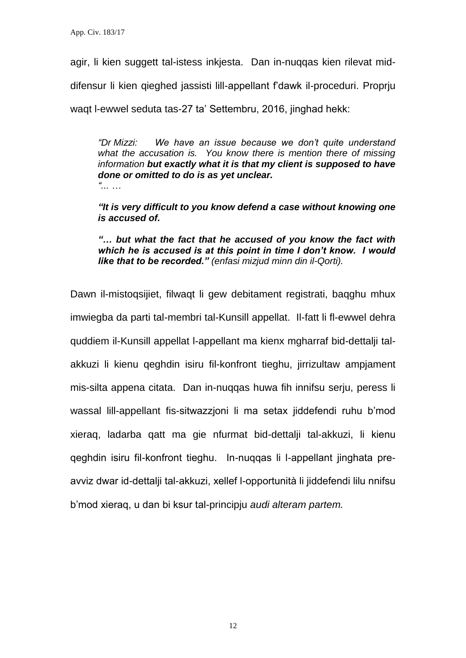agir, li kien suggett tal-istess inkjesta. Dan in-nuqqas kien rilevat mid-

difensur li kien qieghed jassisti lill-appellant f'dawk il-proceduri. Proprju

waqt I-ewwel seduta tas-27 ta' Settembru, 2016, jinghad hekk:

*"Dr Mizzi: We have an issue because we don't quite understand what the accusation is. You know there is mention there of missing information but exactly what it is that my client is supposed to have done or omitted to do is as yet unclear. "... …*

*"It is very difficult to you know defend a case without knowing one is accused of.*

*"… but what the fact that he accused of you know the fact with which he is accused is at this point in time I don't know. I would like that to be recorded." (enfasi mizjud minn din il-Qorti).*

Dawn il-mistoqsijiet, filwaqt li gew debitament registrati, baqghu mhux imwiegba da parti tal-membri tal-Kunsill appellat. Il-fatt li fl-ewwel dehra quddiem il-Kunsill appellat l-appellant ma kienx mgharraf bid-dettalji talakkuzi li kienu qeghdin isiru fil-konfront tieghu, jirrizultaw ampjament mis-silta appena citata. Dan in-nuqqas huwa fih innifsu serju, peress li wassal lill-appellant fis-sitwazzjoni li ma setax jiddefendi ruhu b'mod xieraq, ladarba qatt ma gie nfurmat bid-dettalji tal-akkuzi, li kienu qeghdin isiru fil-konfront tieghu. In-nuqqas li l-appellant jinghata preavviz dwar id-dettalji tal-akkuzi, xellef l-opportunità li jiddefendi lilu nnifsu b'mod xieraq, u dan bi ksur tal-principju *audi alteram partem.*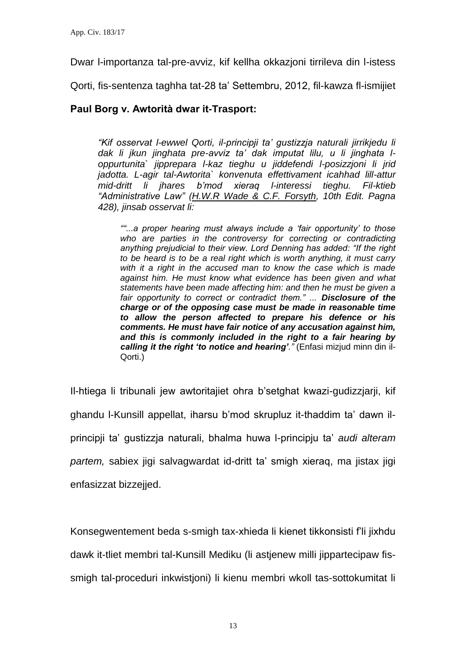Dwar l-importanza tal-pre-avviz, kif kellha okkazjoni tirrileva din l-istess

Qorti, fis-sentenza taghha tat-28 ta' Settembru, 2012, fil-kawza fl-ismijiet

## **Paul Borg v. Awtorità dwar it-Trasport:**

*"Kif osservat l-ewwel Qorti, il-principji ta' gustizzja naturali jirrikjedu li dak li jkun jinghata pre-avviz ta' dak imputat lilu, u li jinghata loppurtunita` jipprepara l-kaz tieghu u jiddefendi l-posizzjoni li jrid jadotta. L-agir tal-Awtorita` konvenuta effettivament icahhad lill-attur mid-dritt li jhares b'mod xieraq l-interessi tieghu. Fil-ktieb "Administrative Law" (H.W.R Wade & C.F. Forsyth, 10th Edit. Pagna 428), jinsab osservat li:*

*""...a proper hearing must always include a 'fair opportunity' to those*  who are parties in the controversy for correcting or contradicting *anything prejudicial to their view. Lord Denning has added: "If the right to be heard is to be a real right which is worth anything, it must carry with it a right in the accused man to know the case which is made against him. He must know what evidence has been given and what statements have been made affecting him: and then he must be given a fair opportunity to correct or contradict them." ... Disclosure of the charge or of the opposing case must be made in reasonable time to allow the person affected to prepare his defence or his comments. He must have fair notice of any accusation against him, and this is commonly included in the right to a fair hearing by calling it the right 'to notice and hearing'."* (Enfasi mizjud minn din il-Qorti.)

Il-htiega li tribunali jew awtoritajiet ohra b'setghat kwazi-gudizzjarji, kif ghandu l-Kunsill appellat, iharsu b'mod skrupluz it-thaddim ta' dawn ilprincipji ta' gustizzja naturali, bhalma huwa l-principju ta' *audi alteram partem,* sabiex jigi salvagwardat id-dritt ta' smigh xieraq, ma jistax jigi enfasizzat bizzejjed.

Konsegwentement beda s-smigh tax-xhieda li kienet tikkonsisti f'li jixhdu dawk it-tliet membri tal-Kunsill Mediku (li astjenew milli jippartecipaw fissmigh tal-proceduri inkwistjoni) li kienu membri wkoll tas-sottokumitat li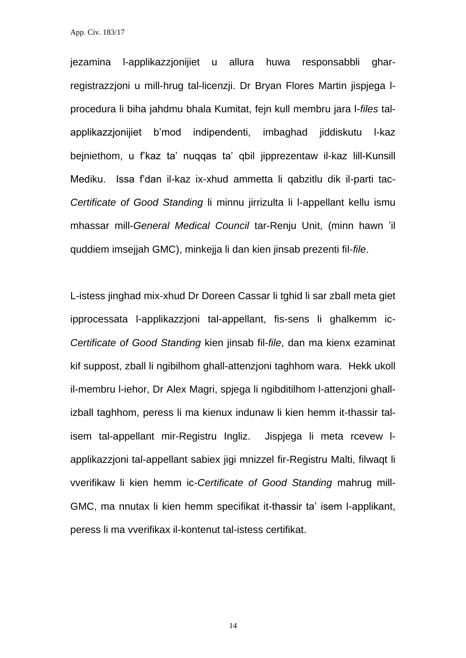jezamina l-applikazzjonijiet u allura huwa responsabbli gharregistrazzjoni u mill-hrug tal-licenzji. Dr Bryan Flores Martin jispjega lprocedura li biha jahdmu bhala Kumitat, fejn kull membru jara l-*files* talapplikazzjonijiet b'mod indipendenti, imbaghad jiddiskutu l-kaz bejniethom, u f'kaz ta' nuqqas ta' qbil jipprezentaw il-kaz lill-Kunsill Mediku. Issa f'dan il-kaz ix-xhud ammetta li qabzitlu dik il-parti tac-*Certificate of Good Standing* li minnu jirrizulta li l-appellant kellu ismu mhassar mill-*General Medical Council* tar-Renju Unit, (minn hawn 'il quddiem imsejjah GMC), minkejja li dan kien jinsab prezenti fil-*file*.

L-istess jinghad mix-xhud Dr Doreen Cassar li tghid li sar zball meta giet ipprocessata l-applikazzjoni tal-appellant, fis-sens li ghalkemm ic-*Certificate of Good Standing* kien jinsab fil-*file*, dan ma kienx ezaminat kif suppost, zball li ngibilhom ghall-attenzjoni taghhom wara. Hekk ukoll il-membru l-iehor, Dr Alex Magri, spjega li ngibditilhom l-attenzjoni ghallizball taghhom, peress li ma kienux indunaw li kien hemm it-thassir talisem tal-appellant mir-Registru Ingliz. Jispjega li meta rcevew lapplikazzjoni tal-appellant sabiex jigi mnizzel fir-Registru Malti, filwaqt li vverifikaw li kien hemm ic-*Certificate of Good Standing* mahrug mill-GMC, ma nnutax li kien hemm specifikat it-thassir ta' isem l-applikant, peress li ma vverifikax il-kontenut tal-istess certifikat.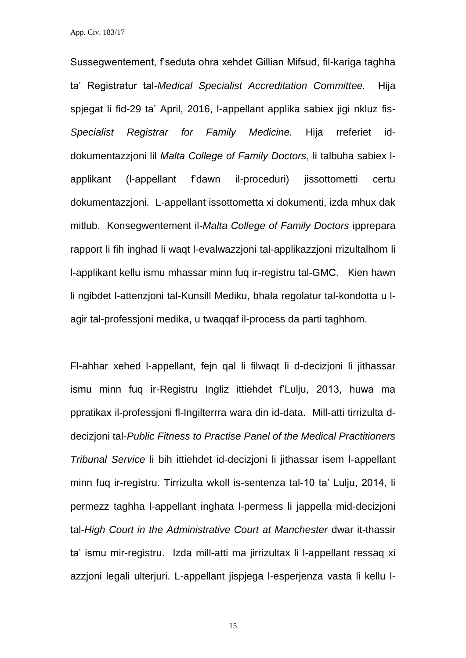Sussegwentement, f'seduta ohra xehdet Gillian Mifsud, fil-kariga taghha ta' Registratur tal-*Medical Specialist Accreditation Committee.* Hija spjegat li fid-29 ta' April, 2016, l-appellant applika sabiex jigi nkluz fis-*Specialist Registrar for Family Medicine.* Hija rreferiet iddokumentazzjoni lil *Malta College of Family Doctors*, li talbuha sabiex lapplikant (l-appellant f'dawn il-proceduri) jissottometti certu dokumentazzjoni. L-appellant issottometta xi dokumenti, izda mhux dak mitlub. Konsegwentement il-*Malta College of Family Doctors* ipprepara rapport li fih inghad li waqt l-evalwazzjoni tal-applikazzjoni rrizultalhom li l-applikant kellu ismu mhassar minn fuq ir-registru tal-GMC. Kien hawn li ngibdet l-attenzjoni tal-Kunsill Mediku, bhala regolatur tal-kondotta u lagir tal-professjoni medika, u twaqqaf il-process da parti taghhom.

Fl-ahhar xehed l-appellant, fejn qal li filwaqt li d-decizjoni li jithassar ismu minn fuq ir-Registru Ingliz ittiehdet f'Lulju, 2013, huwa ma ppratikax il-professjoni fl-Ingilterrra wara din id-data. Mill-atti tirrizulta ddecizjoni tal-*Public Fitness to Practise Panel of the Medical Practitioners Tribunal Service* li bih ittiehdet id-decizjoni li jithassar isem l-appellant minn fuq ir-registru. Tirrizulta wkoll is-sentenza tal-10 ta' Lulju, 2014, li permezz taghha l-appellant inghata l-permess li jappella mid-decizjoni tal-*High Court in the Administrative Court at Manchester* dwar it-thassir ta' ismu mir-registru. Izda mill-atti ma jirrizultax li l-appellant ressaq xi azzjoni legali ulterjuri. L-appellant jispjega l-esperjenza vasta li kellu l-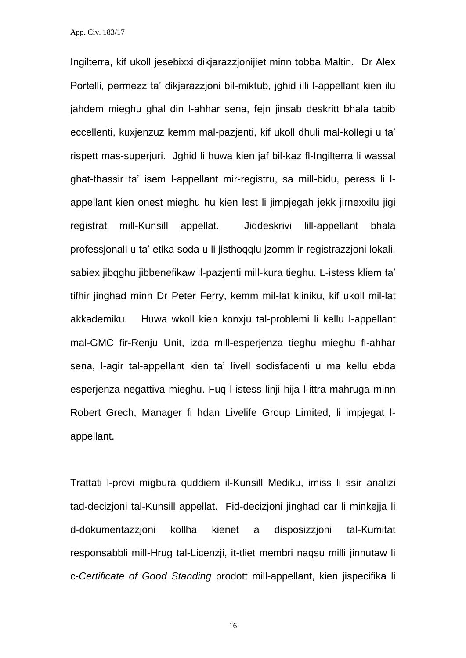Ingilterra, kif ukoll jesebixxi dikjarazzjonijiet minn tobba Maltin. Dr Alex Portelli, permezz ta' dikjarazzjoni bil-miktub, jghid illi l-appellant kien ilu jahdem mieghu ghal din l-ahhar sena, fejn jinsab deskritt bhala tabib eccellenti, kuxjenzuz kemm mal-pazjenti, kif ukoll dhuli mal-kollegi u ta' rispett mas-superjuri. Jghid li huwa kien jaf bil-kaz fl-Ingilterra li wassal ghat-thassir ta' isem l-appellant mir-registru, sa mill-bidu, peress li lappellant kien onest mieghu hu kien lest li jimpjegah jekk jirnexxilu jigi registrat mill-Kunsill appellat. Jiddeskrivi lill-appellant bhala professjonali u ta' etika soda u li jisthoqqlu jzomm ir-registrazzjoni lokali, sabiex jibqghu jibbenefikaw il-pazjenti mill-kura tieghu. L-istess kliem ta' tifhir jinghad minn Dr Peter Ferry, kemm mil-lat kliniku, kif ukoll mil-lat akkademiku. Huwa wkoll kien konxju tal-problemi li kellu l-appellant mal-GMC fir-Renju Unit, izda mill-esperjenza tieghu mieghu fl-ahhar sena, l-agir tal-appellant kien ta' livell sodisfacenti u ma kellu ebda esperjenza negattiva mieghu. Fuq l-istess linji hija l-ittra mahruga minn Robert Grech, Manager fi hdan Livelife Group Limited, li impjegat lappellant.

Trattati l-provi migbura quddiem il-Kunsill Mediku, imiss li ssir analizi tad-decizjoni tal-Kunsill appellat. Fid-decizjoni jinghad car li minkejja li d-dokumentazzjoni kollha kienet a disposizzjoni tal-Kumitat responsabbli mill-Hrug tal-Licenzji, it-tliet membri naqsu milli jinnutaw li c-*Certificate of Good Standing* prodott mill-appellant, kien jispecifika li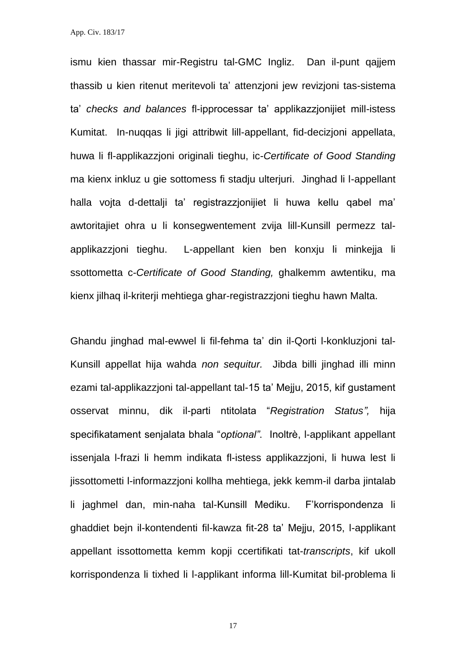ismu kien thassar mir-Registru tal-GMC Ingliz. Dan il-punt qajjem thassib u kien ritenut meritevoli ta' attenzjoni jew revizjoni tas-sistema ta' *checks and balances* fl-ipprocessar ta' applikazzjonijiet mill-istess Kumitat. In-nuqqas li jigi attribwit lill-appellant, fid-decizjoni appellata, huwa li fl-applikazzjoni originali tieghu, ic-*Certificate of Good Standing*  ma kienx inkluz u gie sottomess fi stadju ulterjuri. Jinghad li l-appellant halla vojta d-dettalji ta' registrazzjonijiet li huwa kellu qabel ma' awtoritajiet ohra u li konsegwentement zvija lill-Kunsill permezz talapplikazzjoni tieghu. L-appellant kien ben konxju li minkejja li ssottometta c-*Certificate of Good Standing,* ghalkemm awtentiku, ma kienx jilhaq il-kriterji mehtiega ghar-registrazzjoni tieghu hawn Malta.

Ghandu jinghad mal-ewwel li fil-fehma ta' din il-Qorti l-konkluzjoni tal-Kunsill appellat hija wahda *non sequitur.* Jibda billi jinghad illi minn ezami tal-applikazzjoni tal-appellant tal-15 ta' Mejju, 2015, kif gustament osservat minnu, dik il-parti ntitolata "*Registration Status",* hija specifikatament senjalata bhala "optional". Inoltrè, l-applikant appellant issenjala l-frazi li hemm indikata fl-istess applikazzjoni, li huwa lest li jissottometti l-informazzjoni kollha mehtiega, jekk kemm-il darba jintalab li jaghmel dan, min-naha tal-Kunsill Mediku. F'korrispondenza li ghaddiet bejn il-kontendenti fil-kawza fit-28 ta' Mejju, 2015, l-applikant appellant issottometta kemm kopji ccertifikati tat-*transcripts*, kif ukoll korrispondenza li tixhed li l-applikant informa lill-Kumitat bil-problema li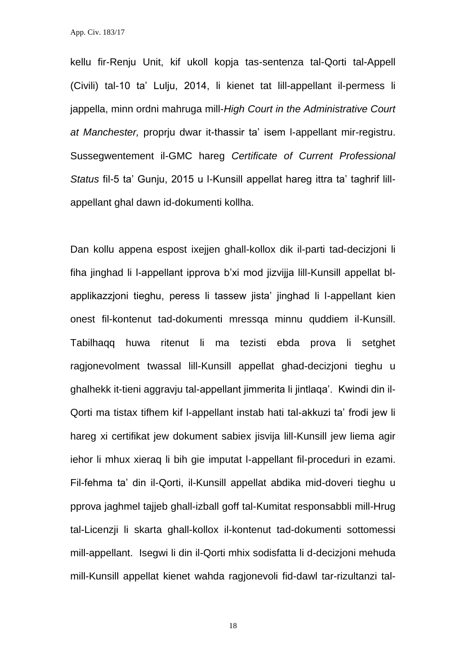kellu fir-Renju Unit, kif ukoll kopja tas-sentenza tal-Qorti tal-Appell (Civili) tal-10 ta' Lulju, 2014, li kienet tat lill-appellant il-permess li jappella, minn ordni mahruga mill-*High Court in the Administrative Court at Manchester,* proprju dwar it-thassir ta' isem l-appellant mir-registru. Sussegwentement il-GMC hareg *Certificate of Current Professional Status* fil-5 ta' Gunju, 2015 u l-Kunsill appellat hareg ittra ta' taghrif lillappellant ghal dawn id-dokumenti kollha.

Dan kollu appena espost ixejjen ghall-kollox dik il-parti tad-decizjoni li fiha jinghad li l-appellant ipprova b'xi mod jizvijja lill-Kunsill appellat blapplikazzjoni tieghu, peress li tassew jista' jinghad li l-appellant kien onest fil-kontenut tad-dokumenti mressqa minnu quddiem il-Kunsill. Tabilhaqq huwa ritenut li ma tezisti ebda prova li setghet ragjonevolment twassal lill-Kunsill appellat ghad-decizjoni tieghu u ghalhekk it-tieni aggravju tal-appellant jimmerita li jintlaqa'. Kwindi din il-Qorti ma tistax tifhem kif l-appellant instab hati tal-akkuzi ta' frodi jew li hareg xi certifikat jew dokument sabiex jisvija lill-Kunsill jew liema agir iehor li mhux xieraq li bih gie imputat l-appellant fil-proceduri in ezami. Fil-fehma ta' din il-Qorti, il-Kunsill appellat abdika mid-doveri tieghu u pprova jaghmel tajjeb ghall-izball goff tal-Kumitat responsabbli mill-Hrug tal-Licenzji li skarta ghall-kollox il-kontenut tad-dokumenti sottomessi mill-appellant. Isegwi li din il-Qorti mhix sodisfatta li d-decizjoni mehuda mill-Kunsill appellat kienet wahda ragjonevoli fid-dawl tar-rizultanzi tal-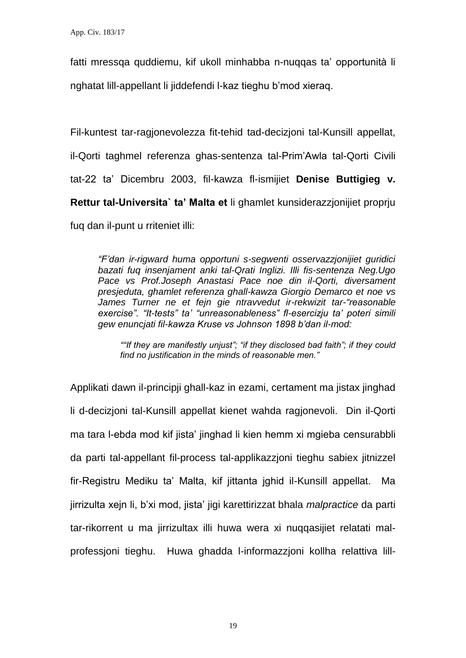fatti mressga quddiemu, kif ukoll minhabba n-nuqqas ta' opportunità li nghatat lill-appellant li jiddefendi l-kaz tieghu b'mod xieraq.

Fil-kuntest tar-ragjonevolezza fit-tehid tad-decizjoni tal-Kunsill appellat, il-Qorti taghmel referenza ghas-sentenza tal-Prim'Awla tal-Qorti Civili tat-22 ta' Dicembru 2003, fil-kawza fl-ismijiet **Denise Buttigieg v. Rettur tal-Universita` ta' Malta et** li ghamlet kunsiderazzjonijiet proprju fuq dan il-punt u rriteniet illi:

*"F'dan ir-rigward huma opportuni s-segwenti osservazzjonijiet guridici bazati fuq insenjament anki tal-Qrati Inglizi. Illi fis-sentenza Neg.Ugo Pace vs Prof.Joseph Anastasi Pace noe din il-Qorti, diversament presjeduta, ghamlet referenza ghall-kawza Giorgio Demarco et noe vs James Turner ne et fejn gie ntravvedut ir-rekwizit tar-"reasonable exercise". "It-tests" ta' "unreasonableness" fl-esercizju ta' poteri simili gew enuncjati fil-kawza Kruse vs Johnson 1898 b'dan il-mod:* 

*""If they are manifestly unjust"; "if they disclosed bad faith"; if they could find no justification in the minds of reasonable men."*

Applikati dawn il-principji ghall-kaz in ezami, certament ma jistax jinghad li d-decizjoni tal-Kunsill appellat kienet wahda ragjonevoli. Din il-Qorti ma tara l-ebda mod kif jista' jinghad li kien hemm xi mgieba censurabbli da parti tal-appellant fil-process tal-applikazzjoni tieghu sabiex jitnizzel fir-Registru Mediku ta' Malta, kif jittanta jghid il-Kunsill appellat. Ma jirrizulta xejn li, b'xi mod, jista' jigi karettirizzat bhala *malpractice* da parti tar-rikorrent u ma jirrizultax illi huwa wera xi nuqqasijiet relatati malprofessjoni tieghu. Huwa ghadda l-informazzjoni kollha relattiva lill-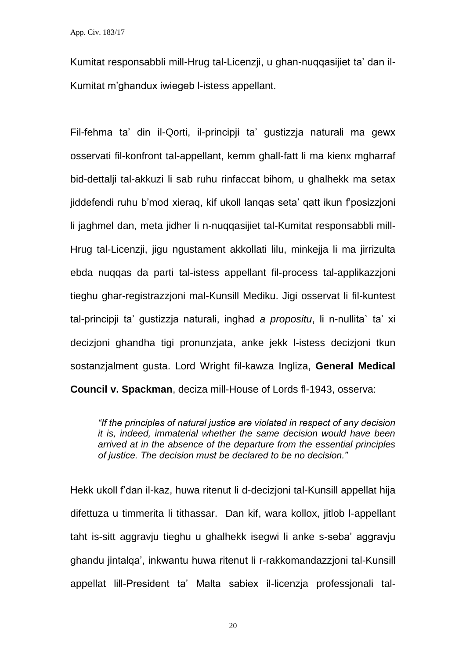Kumitat responsabbli mill-Hrug tal-Licenzji, u ghan-nuqqasijiet ta' dan il-Kumitat m'ghandux iwiegeb l-istess appellant.

Fil-fehma ta' din il-Qorti, il-principji ta' gustizzja naturali ma gewx osservati fil-konfront tal-appellant, kemm ghall-fatt li ma kienx mgharraf bid-dettalji tal-akkuzi li sab ruhu rinfaccat bihom, u ghalhekk ma setax jiddefendi ruhu b'mod xieraq, kif ukoll lanqas seta' qatt ikun f'posizzjoni li jaghmel dan, meta jidher li n-nuqqasijiet tal-Kumitat responsabbli mill-Hrug tal-Licenzji, jigu ngustament akkollati lilu, minkejja li ma jirrizulta ebda nuqqas da parti tal-istess appellant fil-process tal-applikazzjoni tieghu ghar-registrazzjoni mal-Kunsill Mediku. Jigi osservat li fil-kuntest tal-principji ta' gustizzja naturali, inghad *a propositu*, li n-nullita` ta' xi decizjoni ghandha tigi pronunzjata, anke jekk l-istess decizjoni tkun sostanzjalment gusta. Lord Wright fil-kawza Ingliza, **General Medical Council v. Spackman**, deciza mill-House of Lords fl-1943, osserva:

*"If the principles of natural justice are violated in respect of any decision it is, indeed, immaterial whether the same decision would have been arrived at in the absence of the departure from the essential principles of justice. The decision must be declared to be no decision."*

Hekk ukoll f'dan il-kaz, huwa ritenut li d-decizjoni tal-Kunsill appellat hija difettuza u timmerita li tithassar. Dan kif, wara kollox, jitlob l-appellant taht is-sitt aggravju tieghu u ghalhekk isegwi li anke s-seba' aggravju ghandu jintalqa', inkwantu huwa ritenut li r-rakkomandazzjoni tal-Kunsill appellat lill-President ta' Malta sabiex il-licenzja professjonali tal